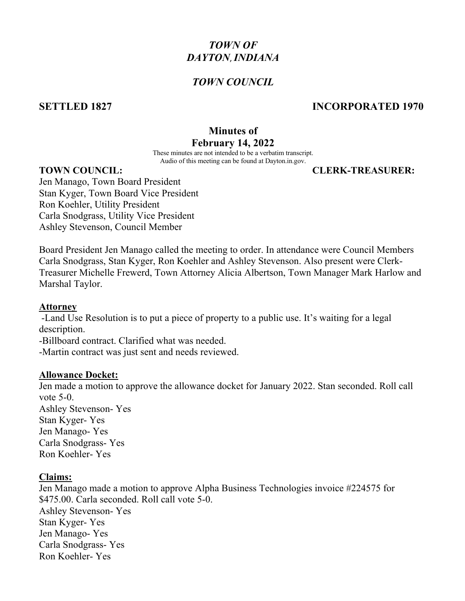# *TOWN OF DAYTON*,*INDIANA*

# *TOWN COUNCIL*

# **SETTLED 1827 INCORPORATED 1970**

# **Minutes of**

# **February 14, 2022**

These minutes are not intended to be a verbatim transcript. Audio of this meeting can be found at Dayton.in.gov.

**TOWN COUNCIL: CLERK-TREASURER:**

Jen Manago, Town Board President Stan Kyger, Town Board Vice President Ron Koehler, Utility President Carla Snodgrass, Utility Vice President Ashley Stevenson, Council Member

Board President Jen Manago called the meeting to order. In attendance were Council Members Carla Snodgrass, Stan Kyger, Ron Koehler and Ashley Stevenson. Also present were Clerk-Treasurer Michelle Frewerd, Town Attorney Alicia Albertson, Town Manager Mark Harlow and Marshal Taylor.

### **Attorney**

-Land Use Resolution is to put a piece of property to a public use. It's waiting for a legal description.

-Billboard contract. Clarified what was needed.

-Martin contract was just sent and needs reviewed.

### **Allowance Docket:**

Jen made a motion to approve the allowance docket for January 2022. Stan seconded. Roll call vote 5-0. Ashley Stevenson- Yes Stan Kyger- Yes Jen Manago- Yes Carla Snodgrass- Yes Ron Koehler- Yes

## **Claims:**

Jen Manago made a motion to approve Alpha Business Technologies invoice #224575 for \$475.00. Carla seconded. Roll call vote 5-0. Ashley Stevenson- Yes Stan Kyger- Yes Jen Manago- Yes Carla Snodgrass- Yes Ron Koehler- Yes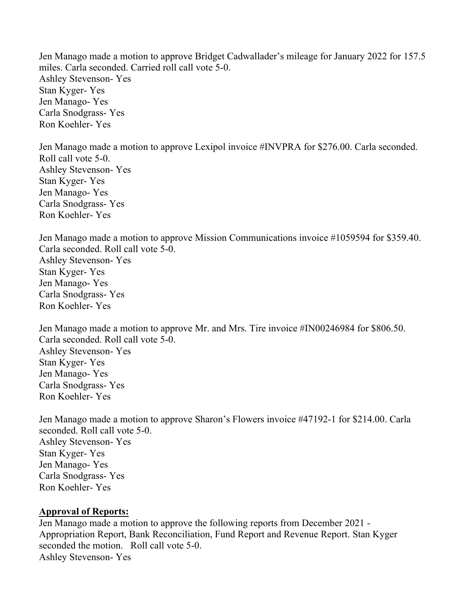Jen Manago made a motion to approve Bridget Cadwallader's mileage for January 2022 for 157.5 miles. Carla seconded. Carried roll call vote 5-0. Ashley Stevenson- Yes Stan Kyger- Yes Jen Manago- Yes Carla Snodgrass- Yes Ron Koehler- Yes

Jen Manago made a motion to approve Lexipol invoice #INVPRA for \$276.00. Carla seconded. Roll call vote 5-0. Ashley Stevenson- Yes Stan Kyger- Yes Jen Manago- Yes Carla Snodgrass- Yes Ron Koehler- Yes

Jen Manago made a motion to approve Mission Communications invoice #1059594 for \$359.40. Carla seconded. Roll call vote 5-0. Ashley Stevenson- Yes Stan Kyger- Yes Jen Manago- Yes Carla Snodgrass- Yes Ron Koehler- Yes

Jen Manago made a motion to approve Mr. and Mrs. Tire invoice #IN00246984 for \$806.50. Carla seconded. Roll call vote 5-0. Ashley Stevenson- Yes Stan Kyger- Yes Jen Manago- Yes Carla Snodgrass- Yes Ron Koehler- Yes

Jen Manago made a motion to approve Sharon's Flowers invoice #47192-1 for \$214.00. Carla seconded. Roll call vote 5-0. Ashley Stevenson- Yes Stan Kyger- Yes Jen Manago- Yes Carla Snodgrass- Yes Ron Koehler- Yes

## **Approval of Reports:**

Jen Manago made a motion to approve the following reports from December 2021 - Appropriation Report, Bank Reconciliation, Fund Report and Revenue Report. Stan Kyger seconded the motion. Roll call vote 5-0. Ashley Stevenson- Yes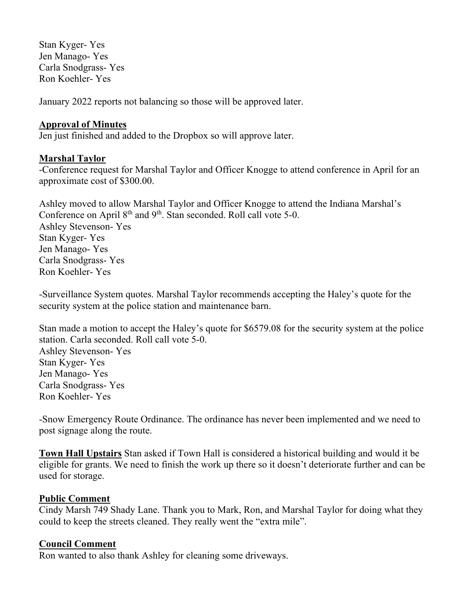Stan Kyger- Yes Jen Manago- Yes Carla Snodgrass- Yes Ron Koehler- Yes

January 2022 reports not balancing so those will be approved later.

## **Approval of Minutes**

Jen just finished and added to the Dropbox so will approve later.

# **Marshal Taylor**

-Conference request for Marshal Taylor and Officer Knogge to attend conference in April for an approximate cost of \$300.00.

Ashley moved to allow Marshal Taylor and Officer Knogge to attend the Indiana Marshal's Conference on April 8<sup>th</sup> and 9<sup>th</sup>. Stan seconded. Roll call vote 5-0. Ashley Stevenson- Yes Stan Kyger- Yes Jen Manago- Yes Carla Snodgrass- Yes Ron Koehler- Yes

-Surveillance System quotes. Marshal Taylor recommends accepting the Haley's quote for the security system at the police station and maintenance barn.

Stan made a motion to accept the Haley's quote for \$6579.08 for the security system at the police station. Carla seconded. Roll call vote 5-0. Ashley Stevenson- Yes Stan Kyger- Yes Jen Manago- Yes Carla Snodgrass- Yes Ron Koehler- Yes

-Snow Emergency Route Ordinance. The ordinance has never been implemented and we need to post signage along the route.

**Town Hall Upstairs** Stan asked if Town Hall is considered a historical building and would it be eligible for grants. We need to finish the work up there so it doesn't deteriorate further and can be used for storage.

# **Public Comment**

Cindy Marsh 749 Shady Lane. Thank you to Mark, Ron, and Marshal Taylor for doing what they could to keep the streets cleaned. They really went the "extra mile".

## **Council Comment**

Ron wanted to also thank Ashley for cleaning some driveways.